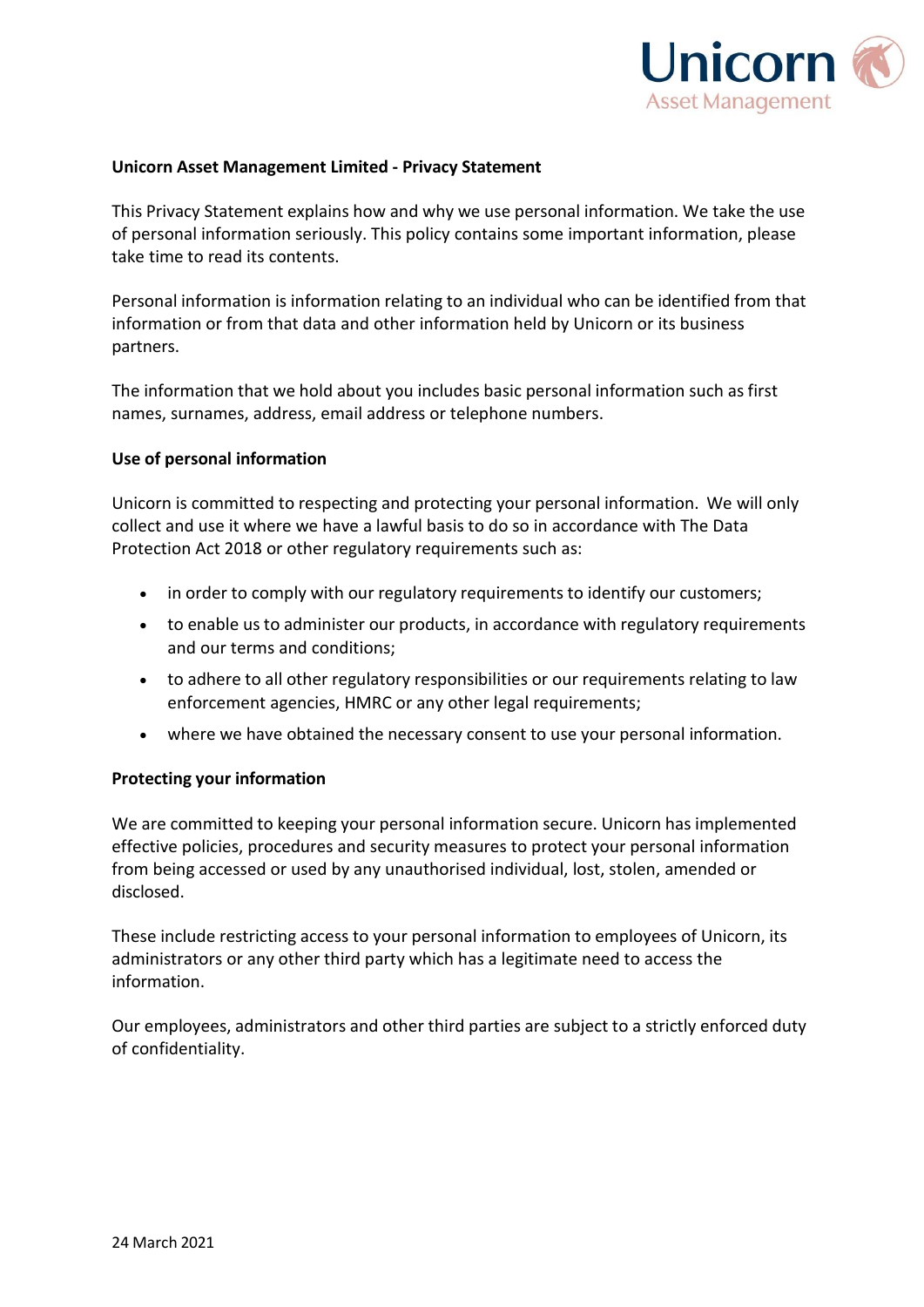

# **Unicorn Asset Management Limited - Privacy Statement**

This Privacy Statement explains how and why we use personal information. We take the use of personal information seriously. This policy contains some important information, please take time to read its contents.

Personal information is information relating to an individual who can be identified from that information or from that data and other information held by Unicorn or its business partners.

The information that we hold about you includes basic personal information such as first names, surnames, address, email address or telephone numbers.

## **Use of personal information**

Unicorn is committed to respecting and protecting your personal information. We will only collect and use it where we have a lawful basis to do so in accordance with The Data Protection Act 2018 or other regulatory requirements such as:

- in order to comply with our regulatory requirements to identify our customers;
- to enable us to administer our products, in accordance with regulatory requirements and our terms and conditions;
- to adhere to all other regulatory responsibilities or our requirements relating to law enforcement agencies, HMRC or any other legal requirements;
- where we have obtained the necessary consent to use your personal information.

# **Protecting your information**

We are committed to keeping your personal information secure. Unicorn has implemented effective policies, procedures and security measures to protect your personal information from being accessed or used by any unauthorised individual, lost, stolen, amended or disclosed.

These include restricting access to your personal information to employees of Unicorn, its administrators or any other third party which has a legitimate need to access the information.

Our employees, administrators and other third parties are subject to a strictly enforced duty of confidentiality.